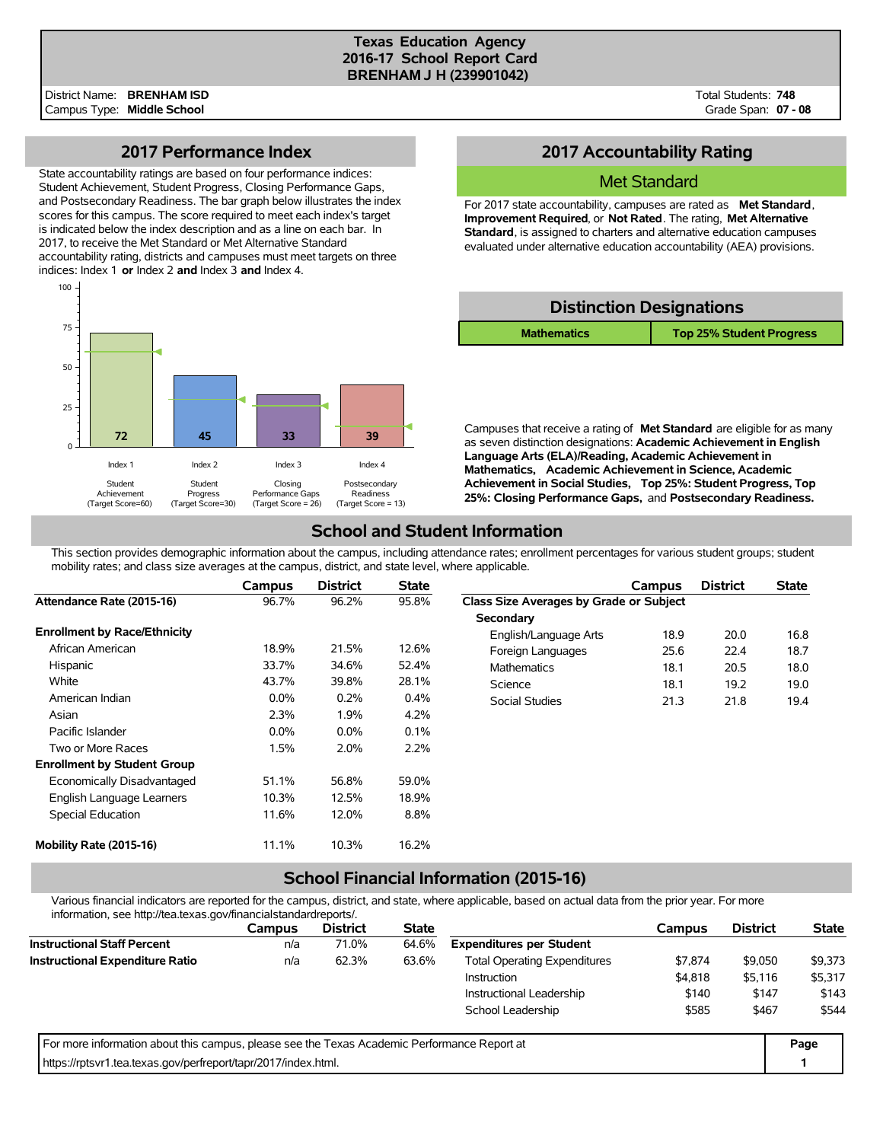#### **Texas Education Agency 2016-17 School Report Card BRENHAM J H (239901042)**

Total Students: **748** Grade Span: **07 - 08**

### **2017 Performance Index**

State accountability ratings are based on four performance indices: Student Achievement, Student Progress, Closing Performance Gaps, and Postsecondary Readiness. The bar graph below illustrates the index scores for this campus. The score required to meet each index's target is indicated below the index description and as a line on each bar. In 2017, to receive the Met Standard or Met Alternative Standard accountability rating, districts and campuses must meet targets on three indices: Index 1 **or** Index 2 **and** Index 3 **and** Index 4.



## **2017 Accountability Rating**

### Met Standard

For 2017 state accountability, campuses are rated as **Met Standard**, **Improvement Required**, or **Not Rated**. The rating, **Met Alternative Standard**, is assigned to charters and alternative education campuses evaluated under alternative education accountability (AEA) provisions.

| <b>Distinction Designations</b> |                                 |  |  |  |  |  |  |
|---------------------------------|---------------------------------|--|--|--|--|--|--|
| <b>Mathematics</b>              | <b>Top 25% Student Progress</b> |  |  |  |  |  |  |

Campuses that receive a rating of **Met Standard** are eligible for as many as seven distinction designations: **Academic Achievement in English Language Arts (ELA)/Reading, Academic Achievement in Mathematics, Academic Achievement in Science, Academic Achievement in Social Studies, Top 25%: Student Progress, Top 25%: Closing Performance Gaps,** and **Postsecondary Readiness.**

## **School and Student Information**

This section provides demographic information about the campus, including attendance rates; enrollment percentages for various student groups; student mobility rates; and class size averages at the campus, district, and state level, where applicable.

|                                     | <b>Campus</b> | <b>District</b> | <b>State</b> |                                         | Campus | <b>District</b> | <b>State</b> |
|-------------------------------------|---------------|-----------------|--------------|-----------------------------------------|--------|-----------------|--------------|
| Attendance Rate (2015-16)           | 96.7%         | 96.2%           | 95.8%        | Class Size Averages by Grade or Subject |        |                 |              |
|                                     |               |                 |              | Secondary                               |        |                 |              |
| <b>Enrollment by Race/Ethnicity</b> |               |                 |              | English/Language Arts                   | 18.9   | 20.0            | 16.8         |
| African American                    | 18.9%         | 21.5%           | 12.6%        | Foreign Languages                       | 25.6   | 22.4            | 18.7         |
| Hispanic                            | 33.7%         | 34.6%           | 52.4%        | <b>Mathematics</b>                      | 18.1   | 20.5            | 18.0         |
| White                               | 43.7%         | 39.8%           | 28.1%        | Science                                 | 18.1   | 19.2            | 19.0         |
| American Indian                     | $0.0\%$       | 0.2%            | 0.4%         | Social Studies                          | 21.3   | 21.8            | 19.4         |
| Asian                               | 2.3%          | 1.9%            | 4.2%         |                                         |        |                 |              |
| Pacific Islander                    | $0.0\%$       | $0.0\%$         | 0.1%         |                                         |        |                 |              |
| Two or More Races                   | 1.5%          | 2.0%            | 2.2%         |                                         |        |                 |              |
| <b>Enrollment by Student Group</b>  |               |                 |              |                                         |        |                 |              |
| Economically Disadvantaged          | 51.1%         | 56.8%           | 59.0%        |                                         |        |                 |              |
| English Language Learners           | 10.3%         | 12.5%           | 18.9%        |                                         |        |                 |              |
| Special Education                   | 11.6%         | 12.0%           | 8.8%         |                                         |        |                 |              |
| Mobility Rate (2015-16)             | 11.1%         | 10.3%           | 16.2%        |                                         |        |                 |              |

# **School Financial Information (2015-16)**

Various financial indicators are reported for the campus, district, and state, where applicable, based on actual data from the prior year. For more information, see http://tea.texas.gov/financialstandardreports/.

| lillofilialori, see rillp.//lea.lexas.gov/ililaricialsialidardieports/.                     |        |                 |              |                                     |         |                 |              |
|---------------------------------------------------------------------------------------------|--------|-----------------|--------------|-------------------------------------|---------|-----------------|--------------|
|                                                                                             | Campus | <b>District</b> | <b>State</b> |                                     | Campus  | <b>District</b> | <b>State</b> |
| <b>Instructional Staff Percent</b>                                                          | n/a    | 71.0%           | 64.6%        | <b>Expenditures per Student</b>     |         |                 |              |
| <b>Instructional Expenditure Ratio</b>                                                      | n/a    | 62.3%           | 63.6%        | <b>Total Operating Expenditures</b> | \$7.874 | \$9,050         | \$9,373      |
|                                                                                             |        |                 |              | <b>Instruction</b>                  | \$4,818 | \$5,116         | \$5,317      |
|                                                                                             |        |                 |              | Instructional Leadership            | \$140   | \$147           | \$143        |
|                                                                                             |        |                 |              | School Leadership                   | \$585   | \$467           | \$544        |
| For more information about this campus, please see the Texas Academic Performance Report at |        |                 |              |                                     |         |                 | Page         |
| https://rptsyr1.tea.texas.gov/perfreport/tapr/2017/index.html.                              |        |                 |              |                                     |         |                 |              |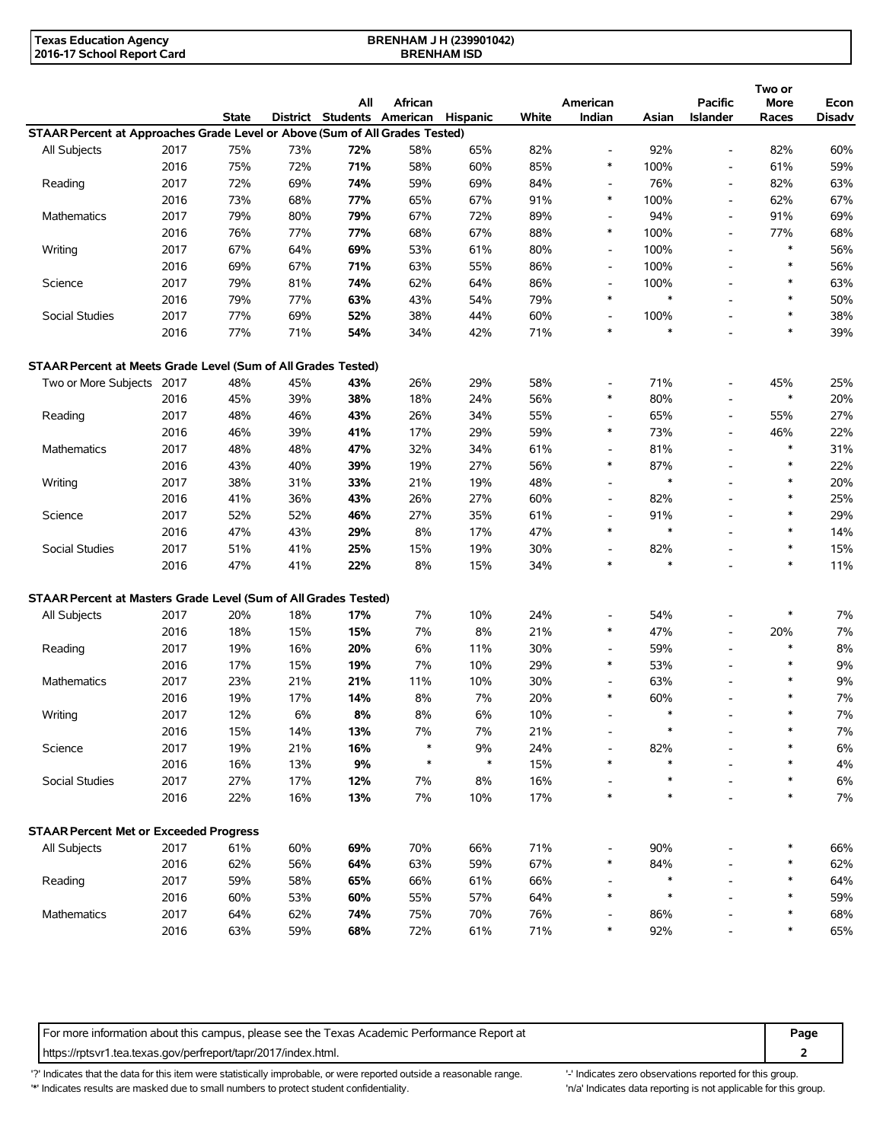| Texas Education Agency     | <b>BRENHAM J H (239901042)</b> |  |
|----------------------------|--------------------------------|--|
| 2016-17 School Report Card | <b>BRENHAM ISD</b>             |  |

|                                                                             |      | <b>State</b> |     | All<br>District Students American | African | Hispanic | White | American<br>Indian       | Asian  | Pacific<br>Islander      | Two or<br>More<br>Races | Econ<br><b>Disadv</b> |
|-----------------------------------------------------------------------------|------|--------------|-----|-----------------------------------|---------|----------|-------|--------------------------|--------|--------------------------|-------------------------|-----------------------|
| STAAR Percent at Approaches Grade Level or Above (Sum of All Grades Tested) |      |              |     |                                   |         |          |       |                          |        |                          |                         |                       |
| All Subjects                                                                | 2017 | 75%          | 73% | 72%                               | 58%     | 65%      | 82%   |                          | 92%    | $\blacksquare$           | 82%                     | 60%                   |
|                                                                             | 2016 | 75%          | 72% | 71%                               | 58%     | 60%      | 85%   | $\ast$                   | 100%   | $\overline{a}$           | 61%                     | 59%                   |
| Reading                                                                     | 2017 | 72%          | 69% | 74%                               | 59%     | 69%      | 84%   | $\overline{a}$           | 76%    | $\blacksquare$           | 82%                     | 63%                   |
|                                                                             | 2016 | 73%          | 68% | 77%                               | 65%     | 67%      | 91%   | $\ast$                   | 100%   | $\overline{\phantom{a}}$ | 62%                     | 67%                   |
| Mathematics                                                                 | 2017 | 79%          | 80% | 79%                               | 67%     | 72%      | 89%   | $\overline{\phantom{a}}$ | 94%    | $\overline{\phantom{a}}$ | 91%                     | 69%                   |
|                                                                             | 2016 | 76%          | 77% | 77%                               | 68%     | 67%      | 88%   | $\ast$                   | 100%   | $\blacksquare$           | 77%                     | 68%                   |
| Writing                                                                     | 2017 | 67%          | 64% | 69%                               | 53%     | 61%      | 80%   | $\overline{\phantom{a}}$ | 100%   |                          | $\ast$                  | 56%                   |
|                                                                             | 2016 | 69%          | 67% | 71%                               | 63%     | 55%      | 86%   | $\overline{\phantom{a}}$ | 100%   |                          | $\ast$                  | 56%                   |
| Science                                                                     | 2017 | 79%          | 81% | 74%                               | 62%     | 64%      | 86%   | $\overline{\phantom{a}}$ | 100%   |                          | $\ast$                  | 63%                   |
|                                                                             | 2016 | 79%          | 77% | 63%                               | 43%     | 54%      | 79%   | $\ast$                   | $\ast$ |                          | $\ast$                  | 50%                   |
| Social Studies                                                              | 2017 | 77%          | 69% | 52%                               | 38%     | 44%      | 60%   | $\overline{\phantom{a}}$ | 100%   |                          | $\ast$                  | 38%                   |
|                                                                             | 2016 | 77%          | 71% | 54%                               | 34%     | 42%      | 71%   | $\ast$                   | $\ast$ |                          | $\ast$                  | 39%                   |
| STAAR Percent at Meets Grade Level (Sum of All Grades Tested)               |      |              |     |                                   |         |          |       |                          |        |                          |                         |                       |
| Two or More Subjects 2017                                                   |      | 48%          | 45% | 43%                               | 26%     | 29%      | 58%   |                          | 71%    |                          | 45%                     | 25%                   |
|                                                                             | 2016 | 45%          | 39% | 38%                               | 18%     | 24%      | 56%   | $\ast$                   | 80%    |                          | $\ast$                  | 20%                   |
| Reading                                                                     | 2017 | 48%          | 46% | 43%                               | 26%     | 34%      | 55%   | $\overline{\phantom{a}}$ | 65%    | $\overline{\phantom{a}}$ | 55%                     | 27%                   |
|                                                                             | 2016 | 46%          | 39% | 41%                               | 17%     | 29%      | 59%   | $\ast$                   | 73%    | $\overline{\phantom{a}}$ | 46%                     | 22%                   |
| Mathematics                                                                 | 2017 | 48%          | 48% | 47%                               | 32%     | 34%      | 61%   | $\overline{\phantom{a}}$ | 81%    | $\overline{\phantom{a}}$ | $\ast$                  | 31%                   |
|                                                                             | 2016 | 43%          | 40% | 39%                               | 19%     | 27%      | 56%   | $\ast$                   | 87%    |                          | $\ast$                  | 22%                   |
| Writing                                                                     | 2017 | 38%          | 31% | 33%                               | 21%     | 19%      | 48%   | $\overline{\phantom{a}}$ | $\ast$ |                          | $\ast$                  | 20%                   |
|                                                                             | 2016 | 41%          | 36% | 43%                               | 26%     | 27%      | 60%   | $\overline{a}$           | 82%    |                          | $\ast$                  | 25%                   |
| Science                                                                     | 2017 | 52%          | 52% | 46%                               | 27%     | 35%      | 61%   | $\overline{\phantom{a}}$ | 91%    | $\overline{\phantom{a}}$ | $\ast$                  | 29%                   |
|                                                                             | 2016 | 47%          | 43% | 29%                               | 8%      | 17%      | 47%   | $\ast$                   | $\ast$ |                          | $\ast$                  | 14%                   |
| Social Studies                                                              | 2017 | 51%          | 41% | 25%                               | 15%     | 19%      | 30%   | $\overline{\phantom{a}}$ | 82%    |                          | $\ast$                  | 15%                   |
|                                                                             | 2016 | 47%          | 41% | 22%                               | 8%      | 15%      | 34%   | $\ast$                   | $\ast$ |                          | $\ast$                  | 11%                   |
| STAAR Percent at Masters Grade Level (Sum of All Grades Tested)             |      |              |     |                                   |         |          |       |                          |        |                          |                         |                       |
| All Subjects                                                                | 2017 | 20%          | 18% | 17%                               | 7%      | 10%      | 24%   |                          | 54%    |                          | $\ast$                  | 7%                    |
|                                                                             | 2016 | 18%          | 15% | 15%                               | 7%      | 8%       | 21%   | $\ast$                   | 47%    | $\overline{\phantom{a}}$ | 20%                     | 7%                    |
| Reading                                                                     | 2017 | 19%          | 16% | 20%                               | 6%      | 11%      | 30%   | $\overline{\phantom{a}}$ | 59%    | $\overline{\phantom{a}}$ | $\ast$                  | 8%                    |
|                                                                             | 2016 | 17%          | 15% | 19%                               | 7%      | 10%      | 29%   | $\ast$                   | 53%    |                          | $\ast$                  | 9%                    |
| Mathematics                                                                 | 2017 | 23%          | 21% | 21%                               | 11%     | 10%      | 30%   |                          | 63%    |                          | $\ast$                  | 9%                    |
|                                                                             | 2016 | 19%          | 17% | 14%                               | 8%      | 7%       | 20%   | $\ast$                   | 60%    |                          | $\ast$                  | 7%                    |
| Writing                                                                     | 2017 | 12%          | 6%  | 8%                                | 8%      | 6%       | 10%   |                          | $\ast$ |                          | $\ast$                  | 7%                    |
|                                                                             | 2016 | 15%          | 14% | 13%                               | $7\%$   | $7\%$    | 21%   |                          |        |                          |                         | 7%                    |
| Science                                                                     | 2017 | 19%          | 21% | 16%                               | $\ast$  | 9%       | 24%   |                          | 82%    |                          | $\ast$                  | 6%                    |
|                                                                             | 2016 | 16%          | 13% | 9%                                | $\ast$  | $\ast$   | 15%   | $\ast$                   |        |                          | $\ast$                  | 4%                    |
| Social Studies                                                              | 2017 | 27%          | 17% | 12%                               | 7%      | 8%       | 16%   |                          | ∗      |                          | $\ast$                  | 6%                    |
|                                                                             | 2016 | 22%          | 16% | 13%                               | 7%      | 10%      | 17%   | $\ast$                   | $\ast$ |                          | $\ast$                  | $7\%$                 |
| <b>STAAR Percent Met or Exceeded Progress</b>                               |      |              |     |                                   |         |          |       |                          |        |                          |                         |                       |
| All Subjects                                                                | 2017 | 61%          | 60% | 69%                               | 70%     | 66%      | 71%   |                          | 90%    |                          |                         | 66%                   |
|                                                                             | 2016 | 62%          | 56% | 64%                               | 63%     | 59%      | 67%   | *                        | 84%    |                          |                         | 62%                   |
| Reading                                                                     | 2017 | 59%          | 58% | 65%                               | 66%     | 61%      | 66%   |                          | $\ast$ |                          | $\ast$                  | 64%                   |
|                                                                             | 2016 | 60%          | 53% | 60%                               | 55%     | 57%      | 64%   | $\ast$                   | $\ast$ |                          | $\ast$                  | 59%                   |
| Mathematics                                                                 | 2017 | 64%          | 62% | 74%                               | 75%     | 70%      | 76%   |                          | 86%    |                          | $\ast$                  | 68%                   |
|                                                                             | 2016 | 63%          | 59% | 68%                               | 72%     | 61%      | 71%   | $\ast$                   | 92%    |                          | $\ast$                  | 65%                   |

For more information about this campus, please see the Texas Academic Performance Report at **Page 2016 Page Page** https://rptsvr1.tea.texas.gov/perfreport/tapr/2017/index.html. **2**

'?' Indicates that the data for this item were statistically improbable, or were reported outside a reasonable range. "Indicates zero observations reported for this group. \*' Indicates results are masked due to small numbers to protect student confidentiality. Ma' Indicates data reporting is not applicable for this group.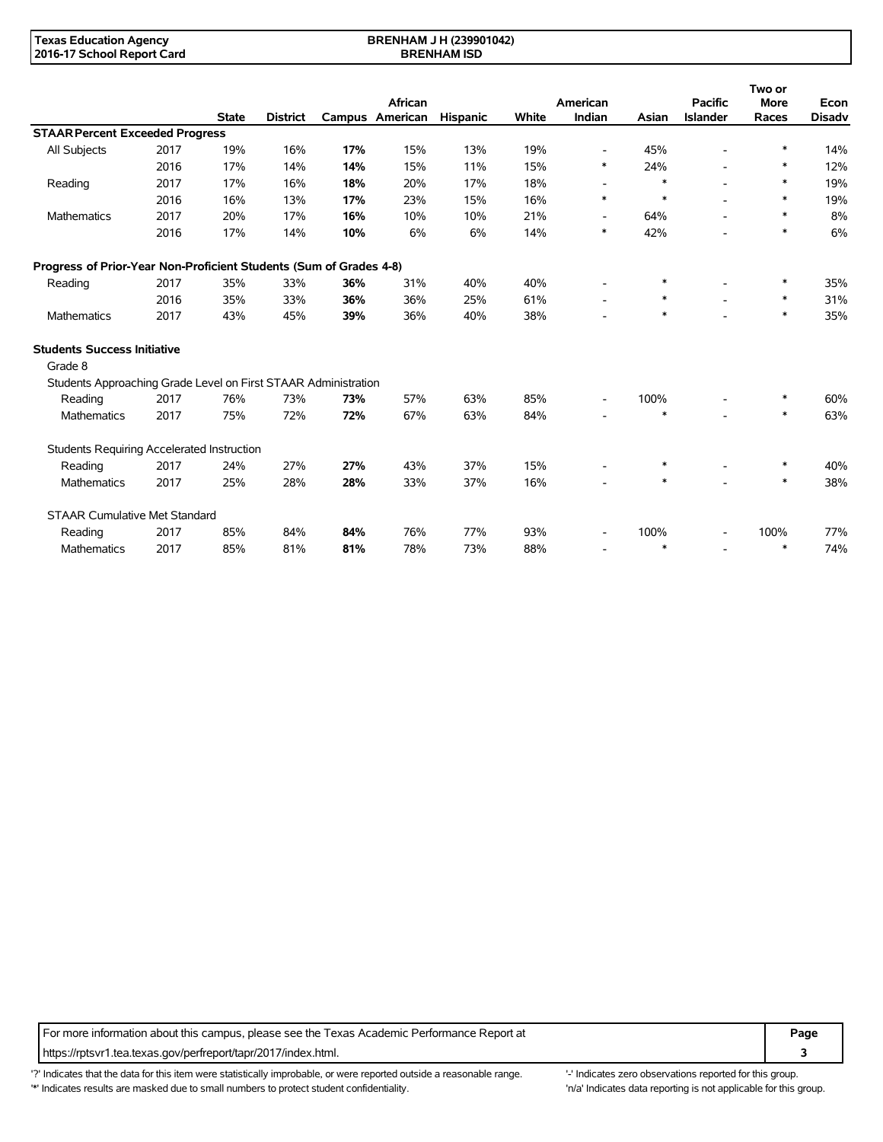| <b>Texas Education Agency</b> | <b>BRENHAM J H (239901042)</b> |  |
|-------------------------------|--------------------------------|--|
| 2016-17 School Report Card    | <b>BRENHAM ISD</b>             |  |

|                                                                    |      |              |                 |     |                            |          |       |                          |        |                                   |                      | Two or                |  |
|--------------------------------------------------------------------|------|--------------|-----------------|-----|----------------------------|----------|-------|--------------------------|--------|-----------------------------------|----------------------|-----------------------|--|
|                                                                    |      | <b>State</b> | <b>District</b> |     | African<br>Campus American | Hispanic | White | American<br>Indian       | Asian  | <b>Pacific</b><br><b>Islander</b> | <b>More</b><br>Races | Econ<br><b>Disadv</b> |  |
| <b>STAAR Percent Exceeded Progress</b>                             |      |              |                 |     |                            |          |       |                          |        |                                   |                      |                       |  |
| All Subjects                                                       | 2017 | 19%          | 16%             | 17% | 15%                        | 13%      | 19%   | $\overline{\phantom{a}}$ | 45%    |                                   | $\ast$               | 14%                   |  |
|                                                                    | 2016 | 17%          | 14%             | 14% | 15%                        | 11%      | 15%   | ∗                        | 24%    |                                   | $\ast$               | 12%                   |  |
| Reading                                                            | 2017 | 17%          | 16%             | 18% | 20%                        | 17%      | 18%   |                          | $\ast$ |                                   | *                    | 19%                   |  |
|                                                                    | 2016 | 16%          | 13%             | 17% | 23%                        | 15%      | 16%   | $\ast$                   | $\ast$ |                                   | $\ast$               | 19%                   |  |
| Mathematics                                                        | 2017 | 20%          | 17%             | 16% | 10%                        | 10%      | 21%   | $\overline{\phantom{a}}$ | 64%    |                                   | $\ast$               | 8%                    |  |
|                                                                    | 2016 | 17%          | 14%             | 10% | 6%                         | 6%       | 14%   | $\ast$                   | 42%    |                                   | $\ast$               | 6%                    |  |
| Progress of Prior-Year Non-Proficient Students (Sum of Grades 4-8) |      |              |                 |     |                            |          |       |                          |        |                                   |                      |                       |  |
| Reading                                                            | 2017 | 35%          | 33%             | 36% | 31%                        | 40%      | 40%   |                          | $\ast$ |                                   | *                    | 35%                   |  |
|                                                                    | 2016 | 35%          | 33%             | 36% | 36%                        | 25%      | 61%   | $\overline{\phantom{a}}$ | $\ast$ |                                   | $\ast$               | 31%                   |  |
| Mathematics                                                        | 2017 | 43%          | 45%             | 39% | 36%                        | 40%      | 38%   |                          | $\ast$ |                                   | $\ast$               | 35%                   |  |
| <b>Students Success Initiative</b>                                 |      |              |                 |     |                            |          |       |                          |        |                                   |                      |                       |  |
| Grade 8                                                            |      |              |                 |     |                            |          |       |                          |        |                                   |                      |                       |  |
| Students Approaching Grade Level on First STAAR Administration     |      |              |                 |     |                            |          |       |                          |        |                                   |                      |                       |  |
| Reading                                                            | 2017 | 76%          | 73%             | 73% | 57%                        | 63%      | 85%   |                          | 100%   |                                   | *                    | 60%                   |  |
| <b>Mathematics</b>                                                 | 2017 | 75%          | 72%             | 72% | 67%                        | 63%      | 84%   |                          | $\ast$ |                                   | $\ast$               | 63%                   |  |
| Students Requiring Accelerated Instruction                         |      |              |                 |     |                            |          |       |                          |        |                                   |                      |                       |  |
| Reading                                                            | 2017 | 24%          | 27%             | 27% | 43%                        | 37%      | 15%   |                          | $\ast$ |                                   | *                    | 40%                   |  |
| Mathematics                                                        | 2017 | 25%          | 28%             | 28% | 33%                        | 37%      | 16%   |                          | $\ast$ |                                   | $\ast$               | 38%                   |  |
| <b>STAAR Cumulative Met Standard</b>                               |      |              |                 |     |                            |          |       |                          |        |                                   |                      |                       |  |
| Reading                                                            | 2017 | 85%          | 84%             | 84% | 76%                        | 77%      | 93%   |                          | 100%   |                                   | 100%                 | 77%                   |  |
| Mathematics                                                        | 2017 | 85%          | 81%             | 81% | 78%                        | 73%      | 88%   |                          | $\ast$ |                                   | $\ast$               | 74%                   |  |

For more information about this campus, please see the Texas Academic Performance Report at **Page Page** https://rptsvr1.tea.texas.gov/perfreport/tapr/2017/index.html. **3**

'?' Indicates that the data for this item were statistically improbable, or were reported outside a reasonable range. '-' Indicates zero observations reported for this group. \*' Indicates results are masked due to small numbers to protect student confidentiality. Ma' Indicates data reporting is not applicable for this group.